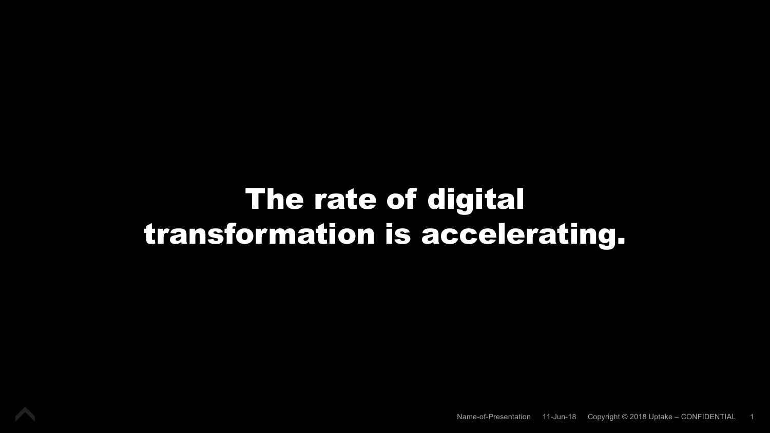# The rate of digital transformation is accelerating.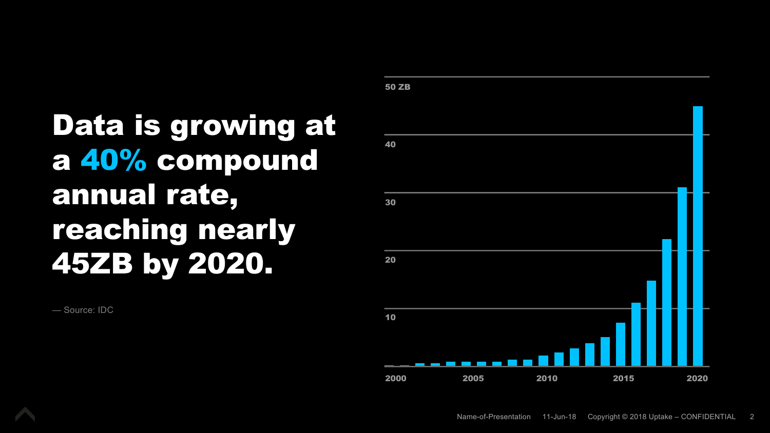# Data is growing at a 40% compound annual rate, reaching nearly 45ZB by 2020.

— Source: IDC



Name-of-Presentation 11-Jun-18 Copyright © 2018 Uptake – CONFIDENTIAL 2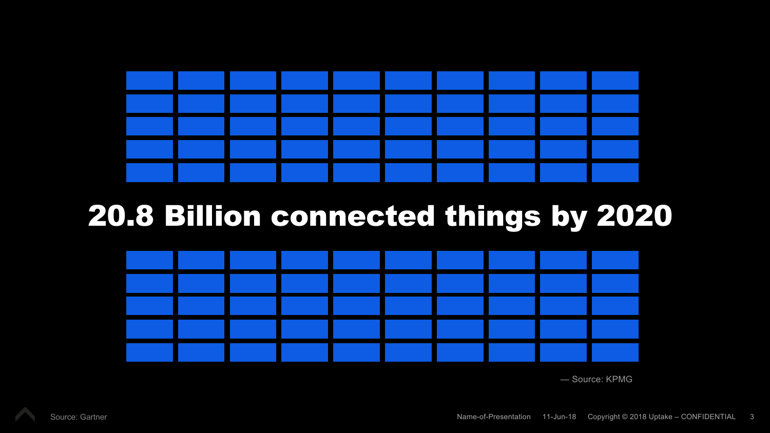

## 20.8 Billion connected things by 2020



— Source: KPMG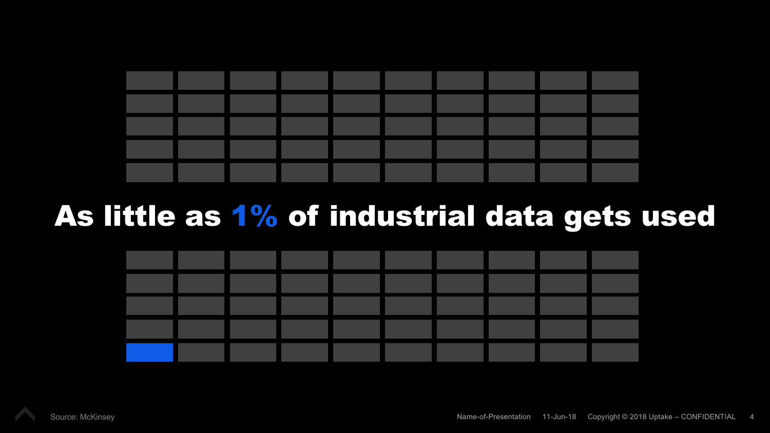

## As little as 1% of industrial data gets used



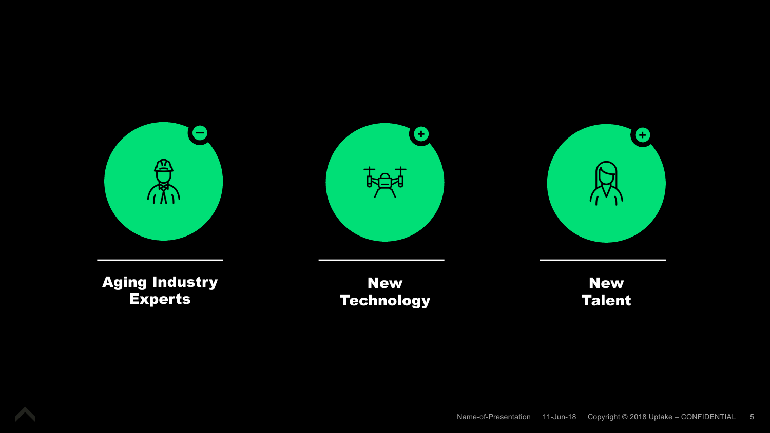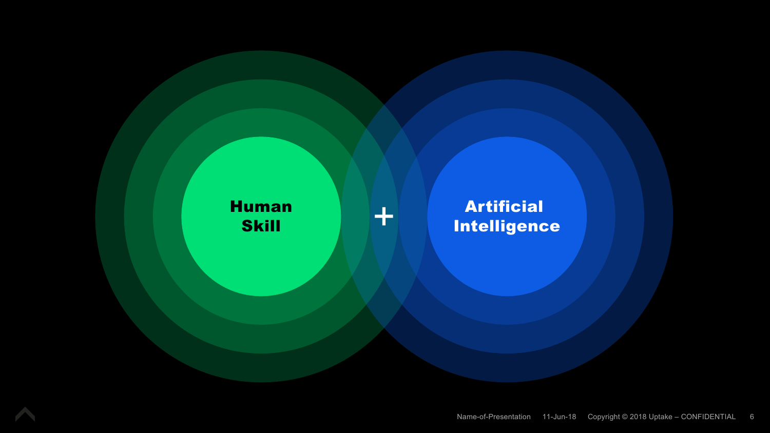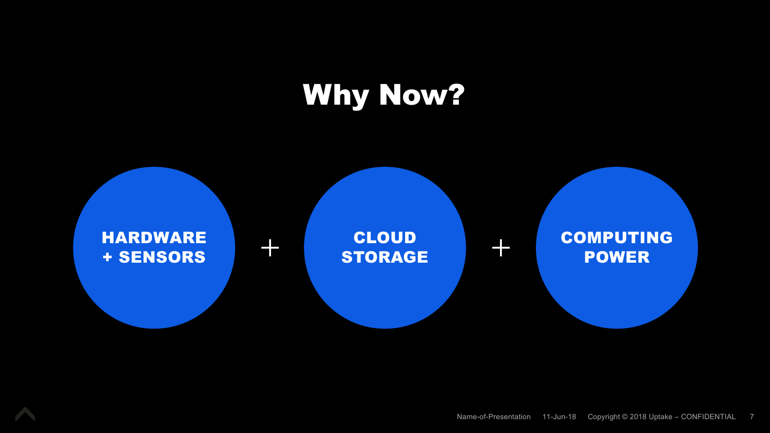# Why Now?

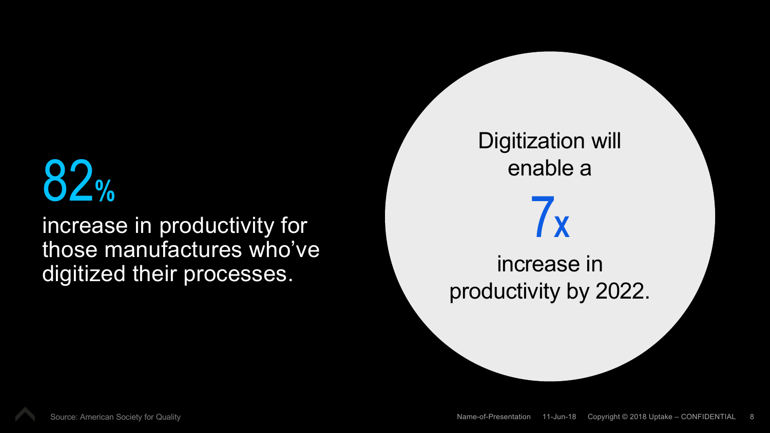# 82**%**

increase in productivity for those manufactures who've digitized their processes.

Digitization will enable a 7**X** increase in productivity by 2022.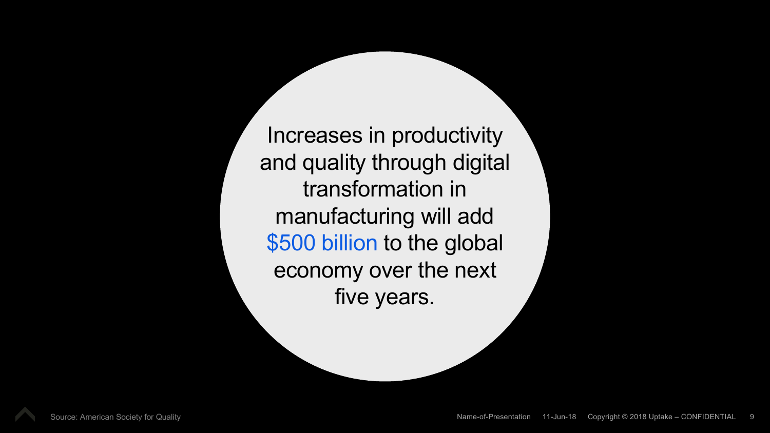Increases in productivity and quality through digital transformation in manufacturing will add \$500 billion to the global economy over the next five years.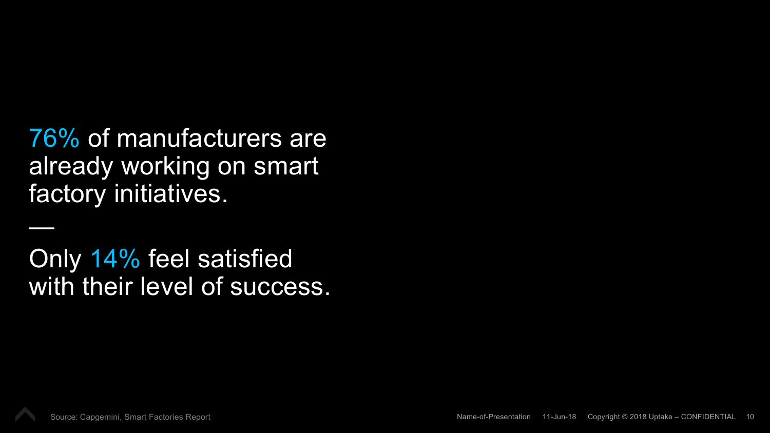### 76% of manufacturers are already working on smart factory initiatives.

Only 14% feel satisfied with their level of success.



—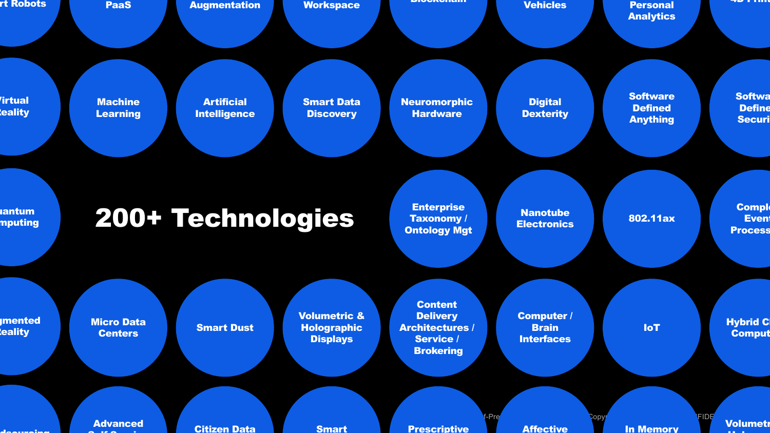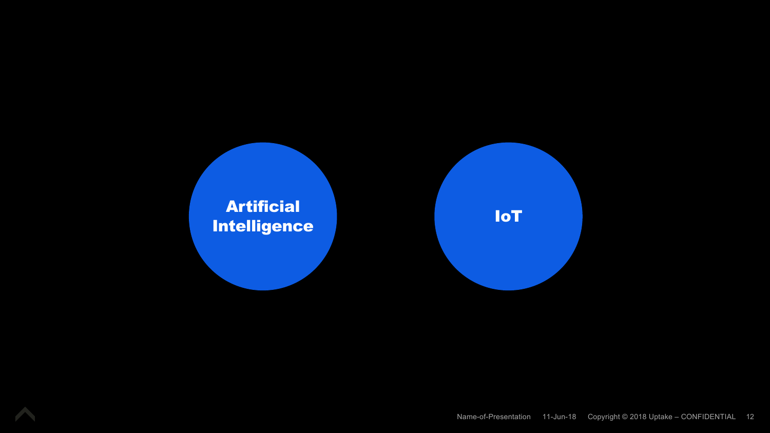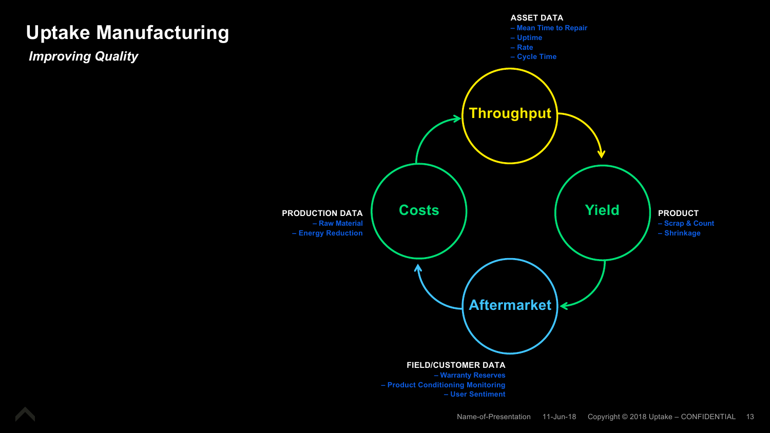#### **Uptake Manufacturing**

*Improving Quality*